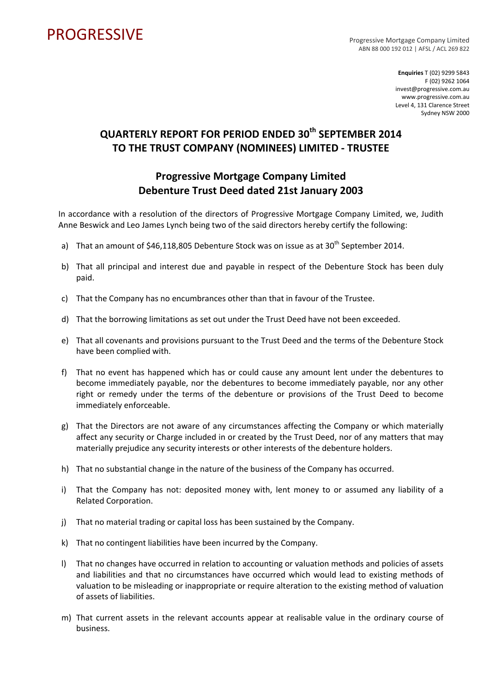## PROGRESSIVE PROGRESSIVE

ABN 88 000 192 012 | AFSL / ACL 269 822

**Enquiries** T (02) 9299 5843 F (02) 9262 1064 invest@progressive.com.au www.progressive.com.au Level 4, 131 Clarence Street Sydney NSW 2000

## **QUARTERLY REPORT FOR PERIOD ENDED 30th SEPTEMBER 2014 TO THE TRUST COMPANY (NOMINEES) LIMITED ‐ TRUSTEE**

## **Progressive Mortgage Company Limited Debenture Trust Deed dated 21st January 2003**

In accordance with a resolution of the directors of Progressive Mortgage Company Limited, we, Judith Anne Beswick and Leo James Lynch being two of the said directors hereby certify the following:

- a) That an amount of \$46,118,805 Debenture Stock was on issue as at  $30<sup>th</sup>$  September 2014.
- b) That all principal and interest due and payable in respect of the Debenture Stock has been duly paid.
- c) That the Company has no encumbrances other than that in favour of the Trustee.
- d) That the borrowing limitations as set out under the Trust Deed have not been exceeded.
- e) That all covenants and provisions pursuant to the Trust Deed and the terms of the Debenture Stock have been complied with.
- f) That no event has happened which has or could cause any amount lent under the debentures to become immediately payable, nor the debentures to become immediately payable, nor any other right or remedy under the terms of the debenture or provisions of the Trust Deed to become immediately enforceable.
- g) That the Directors are not aware of any circumstances affecting the Company or which materially affect any security or Charge included in or created by the Trust Deed, nor of any matters that may materially prejudice any security interests or other interests of the debenture holders.
- h) That no substantial change in the nature of the business of the Company has occurred.
- i) That the Company has not: deposited money with, lent money to or assumed any liability of a Related Corporation.
- j) That no material trading or capital loss has been sustained by the Company.
- k) That no contingent liabilities have been incurred by the Company.
- l) That no changes have occurred in relation to accounting or valuation methods and policies of assets and liabilities and that no circumstances have occurred which would lead to existing methods of valuation to be misleading or inappropriate or require alteration to the existing method of valuation of assets of liabilities.
- m) That current assets in the relevant accounts appear at realisable value in the ordinary course of business.